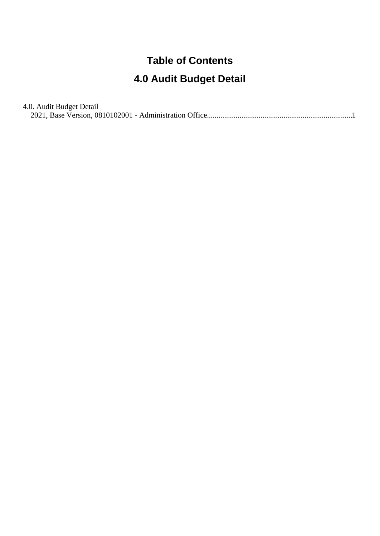## **Table of Contents**

## **4.0 Audit Budget Detail**

| 4.0. Audit Budget Detail |  |
|--------------------------|--|
|                          |  |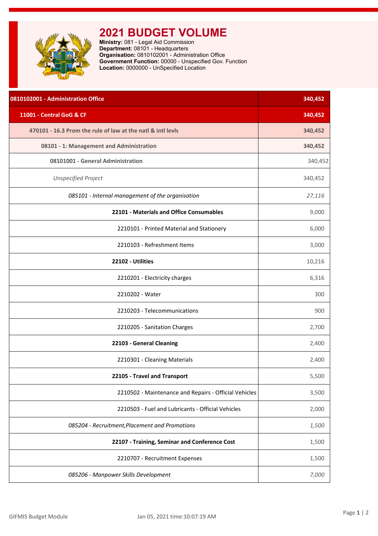<span id="page-1-0"></span>

## **2021 BUDGET VOLUME**

**Ministry:** 081 - Legal Aid Commission **Department:** 08101 - Headquarters **Organisation:** 0810102001 - Administration Office **Government Function:** 00000 - Unspecified Gov. Function **Location:** 0000000 - UnSpecified Location

| 0810102001 - Administration Office                          | 340,452 |
|-------------------------------------------------------------|---------|
| 11001 - Central GoG & CF                                    | 340,452 |
| 470101 - 16.3 Prom the rule of law at the natl & intl levls | 340,452 |
| 08101 - 1: Management and Administration                    | 340,452 |
| 08101001 - General Administration                           | 340,452 |
| <b>Unspecified Project</b>                                  | 340,452 |
| 085101 - Internal management of the organisation            | 27,116  |
| 22101 - Materials and Office Consumables                    | 9,000   |
| 2210101 - Printed Material and Stationery                   | 6,000   |
| 2210103 - Refreshment Items                                 | 3,000   |
| 22102 - Utilities                                           | 10,216  |
| 2210201 - Electricity charges                               | 6,316   |
| 2210202 - Water                                             | 300     |
| 2210203 - Telecommunications                                | 900     |
| 2210205 - Sanitation Charges                                | 2,700   |
| 22103 - General Cleaning                                    | 2,400   |
| 2210301 - Cleaning Materials                                | 2,400   |
| 22105 - Travel and Transport                                | 5,500   |
| 2210502 - Maintenance and Repairs - Official Vehicles       | 3,500   |
| 2210503 - Fuel and Lubricants - Official Vehicles           | 2,000   |
| 085204 - Recruitment, Placement and Promotions              | 1,500   |
| 22107 - Training, Seminar and Conference Cost               | 1,500   |
| 2210707 - Recruitment Expenses                              | 1,500   |
| 085206 - Manpower Skills Development                        | 7,000   |